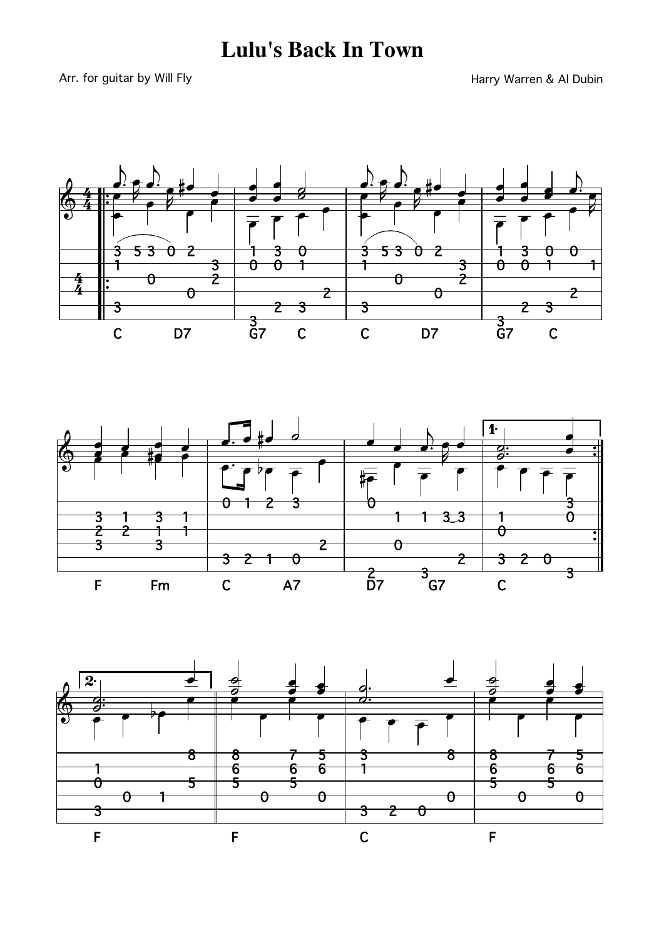## **Lulu's Back In Town**

Arr. for guitar by Will Fly

Harry Warren & Al Dubin